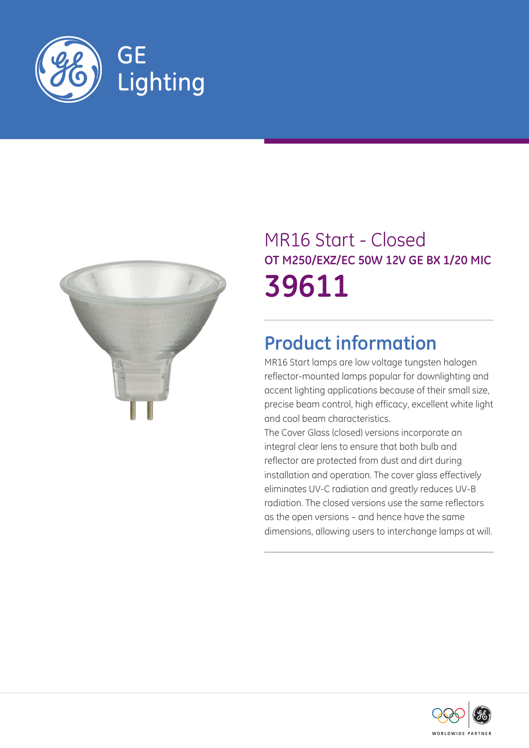



# MR16 Start - Closed **OT M250/EXZ/EC 50W 12V GE BX 1/20 MIC 39611**

# **Product information**

MR16 Start lamps are low voltage tungsten halogen reflector-mounted lamps popular for downlighting and accent lighting applications because of their small size, precise beam control, high efficacy, excellent white light and cool beam characteristics.

The Cover Glass (closed) versions incorporate an integral clear lens to ensure that both bulb and reflector are protected from dust and dirt during installation and operation. The cover glass effectively eliminates UV-C radiation and greatly reduces UV-B radiation. The closed versions use the same reflectors as the open versions – and hence have the same dimensions, allowing users to interchange lamps at will.

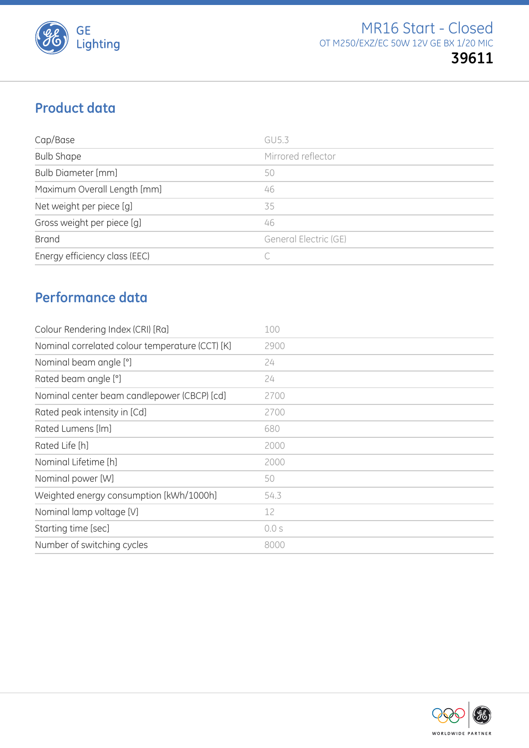

# **Product data**

| Cap/Base                      | GU5.3                 |
|-------------------------------|-----------------------|
| <b>Bulb Shape</b>             | Mirrored reflector    |
| <b>Bulb Diameter [mm]</b>     | 50                    |
| Maximum Overall Length [mm]   | 46                    |
| Net weight per piece [g]      | 35                    |
| Gross weight per piece [g]    | 46                    |
| <b>Brand</b>                  | General Electric (GE) |
| Energy efficiency class (EEC) |                       |

## **Performance data**

| Colour Rendering Index (CRI) [Ra]               | 100   |
|-------------------------------------------------|-------|
| Nominal correlated colour temperature (CCT) [K] | 2900  |
| Nominal beam angle [°]                          | 24    |
| Rated beam angle [°]                            | 24    |
| Nominal center beam candlepower (CBCP) [cd]     | 2700  |
| Rated peak intensity in [Cd]                    | 2700  |
| Rated Lumens [lm]                               | 680   |
| Rated Life [h]                                  | 2000  |
| Nominal Lifetime [h]                            | 2000  |
| Nominal power [W]                               | 50    |
| Weighted energy consumption [kWh/1000h]         | 54.3  |
| Nominal lamp voltage [V]                        | 12    |
| Starting time [sec]                             | 0.0 s |
| Number of switching cycles                      | 8000  |